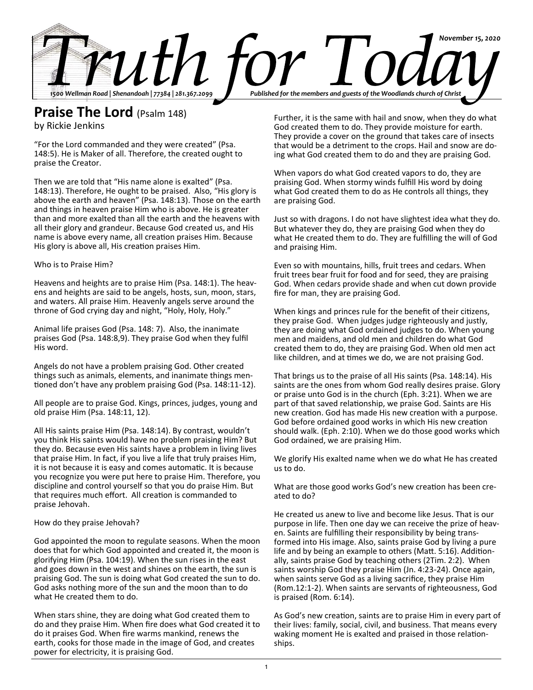

# **Praise The Lord** (Psalm 148)

by Rickie Jenkins

"For the Lord commanded and they were created" (Psa. 148:5). He is Maker of all. Therefore, the created ought to praise the Creator.

Then we are told that "His name alone is exalted" (Psa. 148:13). Therefore, He ought to be praised. Also, "His glory is above the earth and heaven" (Psa. 148:13). Those on the earth and things in heaven praise Him who is above. He is greater than and more exalted than all the earth and the heavens with all their glory and grandeur. Because God created us, and His name is above every name, all creation praises Him. Because His glory is above all, His creation praises Him.

#### Who is to Praise Him?

Heavens and heights are to praise Him (Psa. 148:1). The heavens and heights are said to be angels, hosts, sun, moon, stars, and waters. All praise Him. Heavenly angels serve around the throne of God crying day and night, "Holy, Holy, Holy."

Animal life praises God (Psa. 148: 7). Also, the inanimate praises God (Psa. 148:8,9). They praise God when they fulfil His word.

Angels do not have a problem praising God. Other created things such as animals, elements, and inanimate things mentioned don't have any problem praising God (Psa. 148:11-12).

All people are to praise God. Kings, princes, judges, young and old praise Him (Psa. 148:11, 12).

All His saints praise Him (Psa. 148:14). By contrast, wouldn't you think His saints would have no problem praising Him? But they do. Because even His saints have a problem in living lives that praise Him. In fact, if you live a life that truly praises Him, it is not because it is easy and comes automatic. It is because you recognize you were put here to praise Him. Therefore, you discipline and control yourself so that you do praise Him. But that requires much effort. All creation is commanded to praise Jehovah.

How do they praise Jehovah?

God appointed the moon to regulate seasons. When the moon does that for which God appointed and created it, the moon is glorifying Him (Psa. 104:19). When the sun rises in the east and goes down in the west and shines on the earth, the sun is praising God. The sun is doing what God created the sun to do. God asks nothing more of the sun and the moon than to do what He created them to do.

When stars shine, they are doing what God created them to do and they praise Him. When fire does what God created it to do it praises God. When fire warms mankind, renews the earth, cooks for those made in the image of God, and creates power for electricity, it is praising God.

Further, it is the same with hail and snow, when they do what God created them to do. They provide moisture for earth. They provide a cover on the ground that takes care of insects that would be a detriment to the crops. Hail and snow are doing what God created them to do and they are praising God.

When vapors do what God created vapors to do, they are praising God. When stormy winds fulfill His word by doing what God created them to do as He controls all things, they are praising God.

Just so with dragons. I do not have slightest idea what they do. But whatever they do, they are praising God when they do what He created them to do. They are fulfilling the will of God and praising Him.

Even so with mountains, hills, fruit trees and cedars. When fruit trees bear fruit for food and for seed, they are praising God. When cedars provide shade and when cut down provide fire for man, they are praising God.

When kings and princes rule for the benefit of their citizens, they praise God. When judges judge righteously and justly, they are doing what God ordained judges to do. When young men and maidens, and old men and children do what God created them to do, they are praising God. When old men act like children, and at times we do, we are not praising God.

That brings us to the praise of all His saints (Psa. 148:14). His saints are the ones from whom God really desires praise. Glory or praise unto God is in the church (Eph. 3:21). When we are part of that saved relationship, we praise God. Saints are His new creation. God has made His new creation with a purpose. God before ordained good works in which His new creation should walk. (Eph. 2:10). When we do those good works which God ordained, we are praising Him.

We glorify His exalted name when we do what He has created us to do.

What are those good works God's new creation has been created to do?

He created us anew to live and become like Jesus. That is our purpose in life. Then one day we can receive the prize of heaven. Saints are fulfilling their responsibility by being transformed into His image. Also, saints praise God by living a pure life and by being an example to others (Matt. 5:16). Additionally, saints praise God by teaching others (2Tim. 2:2). When saints worship God they praise Him (Jn. 4:23-24). Once again, when saints serve God as a living sacrifice, they praise Him (Rom.12:1-2). When saints are servants of righteousness, God is praised (Rom. 6:14).

As God's new creation, saints are to praise Him in every part of their lives: family, social, civil, and business. That means every waking moment He is exalted and praised in those relationships.